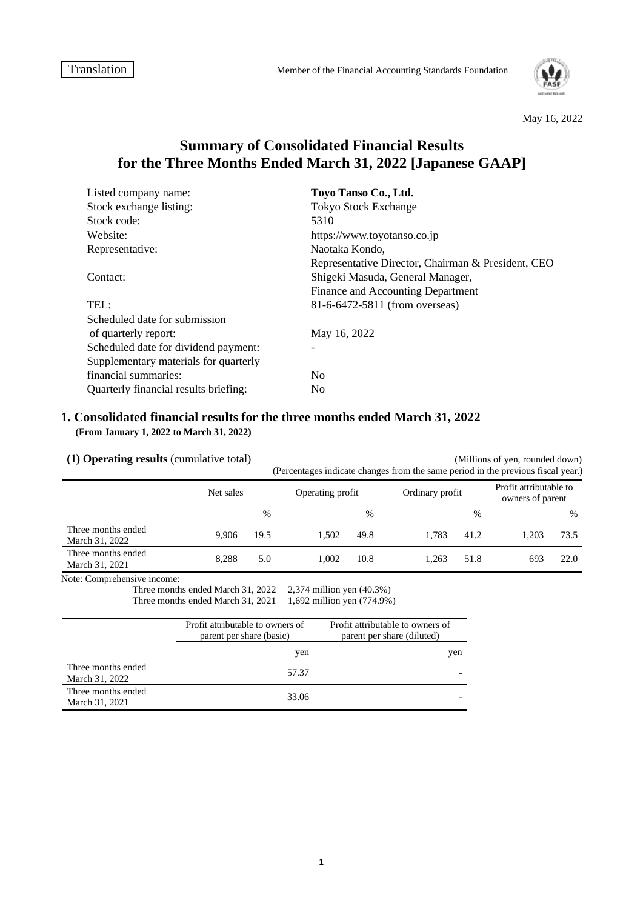

#### May 16, 2022

# **Summary of Consolidated Financial Results for the Three Months Ended March 31, 2022 [Japanese GAAP]**

| Listed company name:                  | Toyo Tanso Co., Ltd.                               |
|---------------------------------------|----------------------------------------------------|
| Stock exchange listing:               | <b>Tokyo Stock Exchange</b>                        |
| Stock code:                           | 5310                                               |
| Website:                              | https://www.toyotanso.co.jp                        |
| Representative:                       | Naotaka Kondo,                                     |
|                                       | Representative Director, Chairman & President, CEO |
| Contact:                              | Shigeki Masuda, General Manager,                   |
|                                       | Finance and Accounting Department                  |
| TEL:                                  | 81-6-6472-5811 (from overseas)                     |
| Scheduled date for submission         |                                                    |
| of quarterly report:                  | May 16, 2022                                       |
| Scheduled date for dividend payment:  |                                                    |
| Supplementary materials for quarterly |                                                    |
| financial summaries:                  | N <sub>0</sub>                                     |
| Quarterly financial results briefing: | N <sub>0</sub>                                     |

### **1. Consolidated financial results for the three months ended March 31, 2022 (From January 1, 2022 to March 31, 2022)**

**(1) Operating results** (cumulative total) (Millions of yen, rounded down) (Percentages indicate changes from the same period in the previous fiscal year.) Net sales Operating profit Dragon Cordinary profit Profit attributable to person of person owners of parent  $\%$  %  $\%$ Three months ended March 31, 2022 9,906 19.5 1,502 49.8 1,783 41.2 1,203 73.5 Three months ended March 31, 2021 8,288 5.0 1,002 10.8 1,263 51.8 693 22.0 Note: Comprehensive income: Three months ended March 31, 2022 2,374 million yen (40.3%)<br>Three months ended March 31, 2021 1,692 million yen (774.9%) Three months ended March 31, 2021 Profit attributable to owners of Profit attributable to owners of

|                                      | parent per share (basic) | parent per share (diluted) |
|--------------------------------------|--------------------------|----------------------------|
|                                      | yen                      | yen                        |
| Three months ended<br>March 31, 2022 | 57.37                    |                            |
| Three months ended<br>March 31, 2021 | 33.06                    |                            |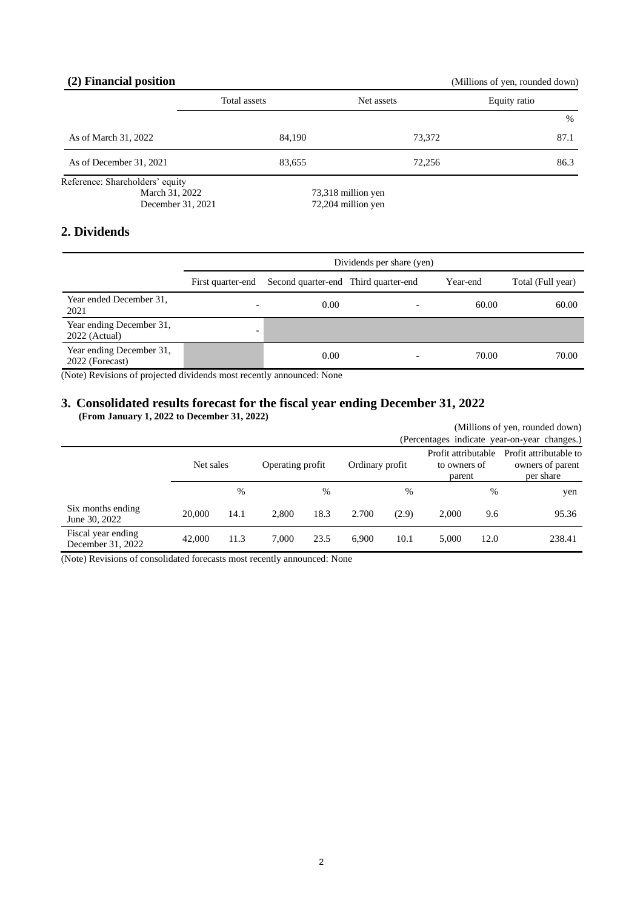## **(2) Financial position** (Millions of yen, rounded down)

|                                                                        | Total assets | Net assets                               | Equity ratio |  |
|------------------------------------------------------------------------|--------------|------------------------------------------|--------------|--|
|                                                                        |              |                                          | %            |  |
| As of March 31, 2022                                                   | 84,190       | 73,372                                   | 87.1         |  |
| As of December 31, 2021                                                | 83,655       | 72,256                                   | 86.3         |  |
| Reference: Shareholders' equity<br>March 31, 2022<br>December 31, 2021 |              | 73,318 million yen<br>72,204 million yen |              |  |

## **2. Dividends**

|                                             | Dividends per share (yen) |                                      |   |          |                   |  |
|---------------------------------------------|---------------------------|--------------------------------------|---|----------|-------------------|--|
|                                             | First quarter-end         | Second quarter-end Third quarter-end |   | Year-end | Total (Full year) |  |
| Year ended December 31,<br>2021             |                           | 0.00                                 |   | 60.00    | 60.00             |  |
| Year ending December 31,<br>$2022$ (Actual) | $\overline{\phantom{0}}$  |                                      |   |          |                   |  |
| Year ending December 31,<br>2022 (Forecast) |                           | 0.00                                 | - | 70.00    | 70.00             |  |

(Note) Revisions of projected dividends most recently announced: None

## **3. Consolidated results forecast for the fiscal year ending December 31, 2022 (From January 1, 2022 to December 31, 2022)**

|                                         |           |      |                  |      |                 |       |                                               |      | (Millions of yen, rounded down)                         |
|-----------------------------------------|-----------|------|------------------|------|-----------------|-------|-----------------------------------------------|------|---------------------------------------------------------|
|                                         |           |      |                  |      |                 |       |                                               |      | (Percentages indicate year-on-year changes.)            |
|                                         | Net sales |      | Operating profit |      | Ordinary profit |       | Profit attributable<br>to owners of<br>parent |      | Profit attributable to<br>owners of parent<br>per share |
|                                         |           | %    |                  | %    |                 | %     |                                               | $\%$ | yen                                                     |
| Six months ending<br>June 30, 2022      | 20,000    | 14.1 | 2.800            | 18.3 | 2.700           | (2.9) | 2.000                                         | 9.6  | 95.36                                                   |
| Fiscal year ending<br>December 31, 2022 | 42,000    | 11.3 | 7.000            | 23.5 | 6.900           | 10.1  | 5.000                                         | 12.0 | 238.41                                                  |

(Note) Revisions of consolidated forecasts most recently announced: None